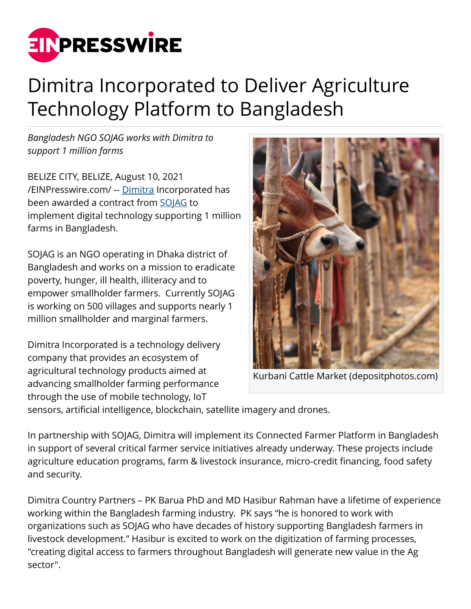

## Dimitra Incorporated to Deliver Agriculture Technology Platform to Bangladesh

*Bangladesh NGO SOJAG works with Dimitra to support 1 million farms*

BELIZE CITY, BELIZE, August 10, 2021 [/EINPresswire.com/](http://www.einpresswire.com) -- [Dimitra](https://www.dimitra.io) Incorporated has been awarded a contract from [SOJAG](https://sojag.net/) to implement digital technology supporting 1 million farms in Bangladesh.

SOJAG is an NGO operating in Dhaka district of Bangladesh and works on a mission to eradicate poverty, hunger, ill health, illiteracy and to empower smallholder farmers. Currently SOJAG is working on 500 villages and supports nearly 1 million smallholder and marginal farmers.

Dimitra Incorporated is a technology delivery company that provides an ecosystem of agricultural technology products aimed at advancing smallholder farming performance through the use of mobile technology, IoT



Kurbani Cattle Market (depositphotos.com)

sensors, artificial intelligence, blockchain, satellite imagery and drones.

In partnership with SOJAG, Dimitra will implement its Connected Farmer Platform in Bangladesh in support of several critical farmer service initiatives already underway. These projects include agriculture education programs, farm & livestock insurance, micro-credit financing, food safety and security.

Dimitra Country Partners – PK Barua PhD and MD Hasibur Rahman have a lifetime of experience working within the Bangladesh farming industry. PK says "he is honored to work with organizations such as SOJAG who have decades of history supporting Bangladesh farmers in livestock development." Hasibur is excited to work on the digitization of farming processes, "creating digital access to farmers throughout Bangladesh will generate new value in the Ag sector".